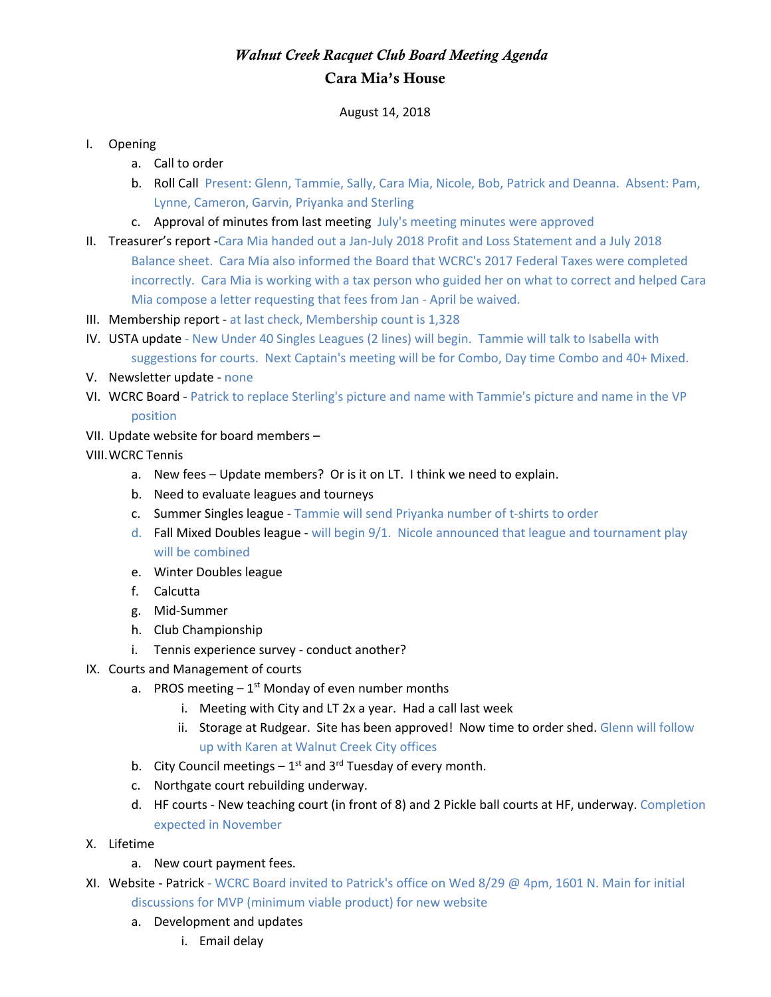## *Walnut Creek Racquet Club Board Meeting Agenda* Cara Mia's House

August 14, 2018

## I. Opening

- a. Call to order
- b. Roll Call Present: Glenn, Tammie, Sally, Cara Mia, Nicole, Bob, Patrick and Deanna. Absent: Pam, Lynne, Cameron, Garvin, Priyanka and Sterling
- c. Approval of minutes from last meeting July's meeting minutes were approved
- II. Treasurer's report -Cara Mia handed out a Jan-July 2018 Profit and Loss Statement and a July 2018 Balance sheet. Cara Mia also informed the Board that WCRC's 2017 Federal Taxes were completed incorrectly. Cara Mia is working with a tax person who guided her on what to correct and helped Cara Mia compose a letter requesting that fees from Jan - April be waived.
- III. Membership report at last check, Membership count is 1,328
- IV. USTA update New Under 40 Singles Leagues (2 lines) will begin. Tammie will talk to Isabella with suggestions for courts. Next Captain's meeting will be for Combo, Day time Combo and 40+ Mixed.
- V. Newsletter update none
- VI. WCRC Board Patrick to replace Sterling's picture and name with Tammie's picture and name in the VP position
- VII. Update website for board members –
- VIII.WCRC Tennis
	- a. New fees Update members? Or is it on LT. I think we need to explain.
	- b. Need to evaluate leagues and tourneys
	- c. Summer Singles league Tammie will send Priyanka number of t-shirts to order
	- d. Fall Mixed Doubles league will begin 9/1. Nicole announced that league and tournament play will be combined
	- e. Winter Doubles league
	- f. Calcutta
	- g. Mid-Summer
	- h. Club Championship
	- i. Tennis experience survey conduct another?
- IX. Courts and Management of courts
	- a. PROS meeting  $-1^{st}$  Monday of even number months
		- i. Meeting with City and LT 2x a year. Had a call last week
		- ii. Storage at Rudgear. Site has been approved! Now time to order shed. Glenn will follow up with Karen at Walnut Creek City offices
	- b. City Council meetings  $-1^{st}$  and 3<sup>rd</sup> Tuesday of every month.
	- c. Northgate court rebuilding underway.
	- d. HF courts New teaching court (in front of 8) and 2 Pickle ball courts at HF, underway. Completion expected in November
- X. Lifetime
	- a. New court payment fees.
- XI. Website Patrick WCRC Board invited to Patrick's office on Wed 8/29 @ 4pm, 1601 N. Main for initial discussions for MVP (minimum viable product) for new website
	- a. Development and updates
		- i. Email delay